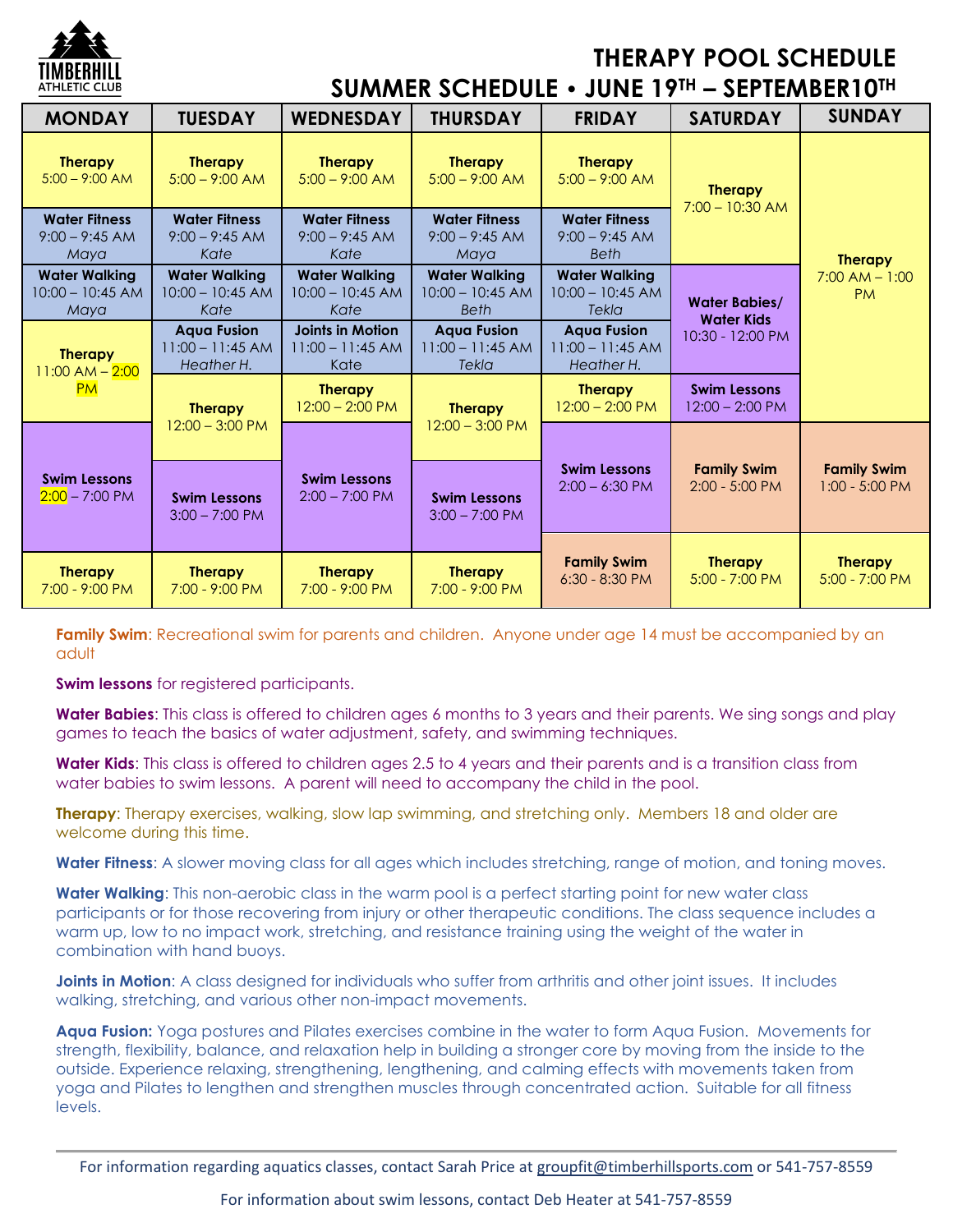

## **THERAPY POOL SCHEDULE**

**SUMMER SCHEDULE • JUNE 19TH – SEPTEMBER10TH**

| <b>MONDAY</b>                                      | <b>TUESDAY</b>                                         | <b>WEDNESDAY</b>                                      | <b>THURSDAY</b>                                           | <b>FRIDAY</b>                                           | <b>SATURDAY</b>                                               | <b>SUNDAY</b>                                     |
|----------------------------------------------------|--------------------------------------------------------|-------------------------------------------------------|-----------------------------------------------------------|---------------------------------------------------------|---------------------------------------------------------------|---------------------------------------------------|
| <b>Therapy</b><br>$5:00 - 9:00$ AM                 | <b>Therapy</b><br>$5:00 - 9:00$ AM                     | <b>Therapy</b><br>$5:00 - 9:00$ AM                    | <b>Therapy</b><br>$5:00 - 9:00$ AM                        | <b>Therapy</b><br>$5:00 - 9:00$ AM                      | <b>Therapy</b><br>$7:00 - 10:30$ AM                           | <b>Therapy</b><br>$7:00$ AM $- 1:00$<br><b>PM</b> |
| <b>Water Fitness</b><br>$9:00 - 9:45 AM$<br>Maya   | <b>Water Fitness</b><br>$9:00 - 9:45$ AM<br>Kate       | <b>Water Fitness</b><br>$9:00 - 9:45 AM$<br>Kate      | <b>Water Fitness</b><br>$9:00 - 9:45 AM$<br>Maya          | <b>Water Fitness</b><br>$9:00 - 9:45$ AM<br><b>Beth</b> |                                                               |                                                   |
| <b>Water Walking</b><br>$10:00 - 10:45$ AM<br>Maya | <b>Water Walking</b><br>$10:00 - 10:45$ AM<br>Kate     | <b>Water Walking</b><br>$10:00 - 10:45$ AM<br>Kate    | <b>Water Walking</b><br>$10:00 - 10:45$ AM<br><b>Beth</b> | <b>Water Walking</b><br>$10:00 - 10:45$ AM<br>Tekla     | <b>Water Babies/</b><br><b>Water Kids</b><br>10:30 - 12:00 PM |                                                   |
| <b>Therapy</b><br>$1:00$ AM $- 2:00$<br><b>PM</b>  | <b>Aqua Fusion</b><br>$11:00 - 11:45$ AM<br>Heather H. | <b>Joints in Motion</b><br>$11:00 - 11:45$ AM<br>Kate | <b>Aqua Fusion</b><br>$11:00 - 11:45$ AM<br>Tekla         | <b>Aqua Fusion</b><br>$11:00 - 11:45$ AM<br>Heather H.  |                                                               |                                                   |
|                                                    | <b>Therapy</b>                                         | <b>Therapy</b><br>$12:00 - 2:00 P M$                  | <b>Therapy</b><br>$12:00 - 3:00 \text{ PM}$               | <b>Therapy</b><br>$12:00 - 2:00 P M$                    | <b>Swim Lessons</b><br>$12:00 - 2:00 \text{ PM}$              |                                                   |
| <b>Swim Lessons</b><br>$2:00 - 7:00 \text{ PM}$    | $12:00 - 3:00$ PM                                      |                                                       |                                                           | <b>Swim Lessons</b><br>$2:00 - 6:30$ PM                 | <b>Family Swim</b><br>$2:00 - 5:00$ PM                        | <b>Family Swim</b><br>$1:00 - 5:00 PM$            |
|                                                    | <b>Swim Lessons</b><br>$3:00 - 7:00$ PM                | <b>Swim Lessons</b><br>$2:00 - 7:00 \text{ PM}$       | <b>Swim Lessons</b><br>$3:00 - 7:00$ PM                   |                                                         |                                                               |                                                   |
| <b>Therapy</b><br>7:00 - 9:00 PM                   | <b>Therapy</b><br>7:00 - 9:00 PM                       | <b>Therapy</b><br>7:00 - 9:00 PM                      | <b>Therapy</b><br>7:00 - 9:00 PM                          | <b>Family Swim</b><br>$6:30 - 8:30$ PM                  | <b>Therapy</b><br>5:00 - 7:00 PM                              | <b>Therapy</b><br>5:00 - 7:00 PM                  |

**Family Swim**: Recreational swim for parents and children. Anyone under age 14 must be accompanied by an adult

**Swim lessons** for registered participants.

**Water Babies**: This class is offered to children ages 6 months to 3 years and their parents. We sing songs and play games to teach the basics of water adjustment, safety, and swimming techniques.

**Water Kids**: This class is offered to children ages 2.5 to 4 years and their parents and is a transition class from water babies to swim lessons. A parent will need to accompany the child in the pool.

**Therapy**: Therapy exercises, walking, slow lap swimming, and stretching only. Members 18 and older are welcome during this time.

**Water Fitness**: A slower moving class for all ages which includes stretching, range of motion, and toning moves.

**Water Walking**: This non-aerobic class in the warm pool is a perfect starting point for new water class participants or for those recovering from injury or other therapeutic conditions. The class sequence includes a warm up, low to no impact work, stretching, and resistance training using the weight of the water in combination with hand buoys.

**Joints in Motion**: A class designed for individuals who suffer from arthritis and other joint issues. It includes walking, stretching, and various other non-impact movements.

**Aqua Fusion:** Yoga postures and Pilates exercises combine in the water to form Aqua Fusion. Movements for strength, flexibility, balance, and relaxation help in building a stronger core by moving from the inside to the outside. Experience relaxing, strengthening, lengthening, and calming effects with movements taken from yoga and Pilates to lengthen and strengthen muscles through concentrated action. Suitable for all fitness levels.

For information regarding aquatics classes, contact Sarah Price at groupfit@timberhillsports.com or 541-757-8559